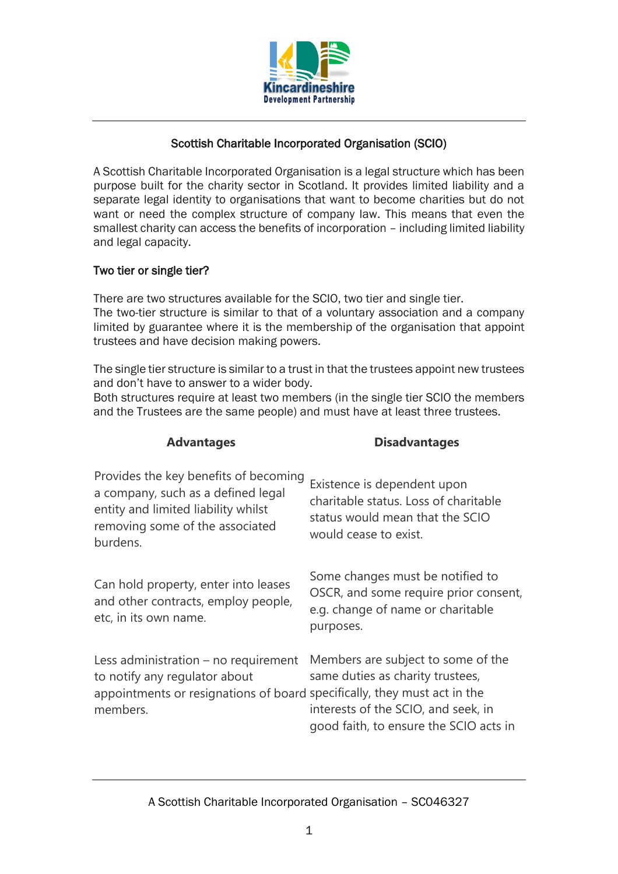

# Scottish Charitable Incorporated Organisation (SCIO)

A Scottish Charitable Incorporated Organisation is a legal structure which has been purpose built for the charity sector in Scotland. It provides limited liability and a separate legal identity to organisations that want to become charities but do not want or need the complex structure of company law. This means that even the smallest charity can access the benefits of incorporation – including limited liability and legal capacity.

# Two tier or single tier?

There are two structures available for the SCIO, two tier and single tier. The two-tier structure is similar to that of a voluntary association and a company limited by guarantee where it is the membership of the organisation that appoint trustees and have decision making powers.

The single tier structure is similar to a trust in that the trustees appoint new trustees and don't have to answer to a wider body.

Both structures require at least two members (in the single tier SCIO the members and the Trustees are the same people) and must have at least three trustees.

**Advantages Disadvantages**

| Provides the key benefits of becoming<br>a company, such as a defined legal<br>entity and limited liability whilst<br>removing some of the associated<br>burdens. | Existence is dependent upon<br>charitable status. Loss of charitable<br>status would mean that the SCIO<br>would cease to exist.                        |
|-------------------------------------------------------------------------------------------------------------------------------------------------------------------|---------------------------------------------------------------------------------------------------------------------------------------------------------|
| Can hold property, enter into leases<br>and other contracts, employ people,<br>etc, in its own name.                                                              | Some changes must be notified to<br>OSCR, and some require prior consent,<br>e.g. change of name or charitable<br>purposes.                             |
| Less administration $-$ no requirement<br>to notify any regulator about<br>appointments or resignations of board specifically, they must act in the<br>members.   | Members are subject to some of the<br>same duties as charity trustees,<br>interests of the SCIO, and seek, in<br>good faith, to ensure the SCIO acts in |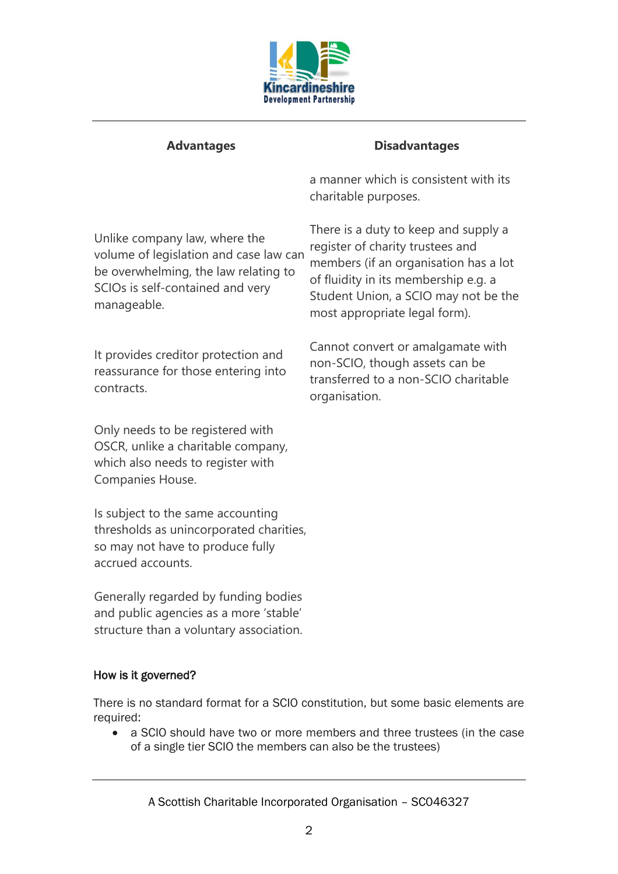

# **Advantages Disadvantages**

a manner which is consistent with its charitable purposes.

There is a duty to keep and supply a

members (if an organisation has a lot of fluidity in its membership e.g. a Student Union, a SCIO may not be the

Cannot convert or amalgamate with non-SCIO, though assets can be transferred to a non-SCIO charitable

register of charity trustees and

most appropriate legal form).

organisation.

Unlike company law, where the volume of legislation and case law can be overwhelming, the law relating to SCIOs is self-contained and very manageable.

It provides creditor protection and reassurance for those entering into contracts.

Only needs to be registered with OSCR, unlike a charitable company, which also needs to register with Companies House.

Is subject to the same accounting thresholds as unincorporated charities, so may not have to produce fully accrued accounts.

Generally regarded by funding bodies and public agencies as a more 'stable' structure than a voluntary association.

# How is it governed?

There is no standard format for a SCIO constitution, but some basic elements are required:

• a SCIO should have two or more members and three trustees (in the case of a single tier SCIO the members can also be the trustees)

A Scottish Charitable Incorporated Organisation – SC046327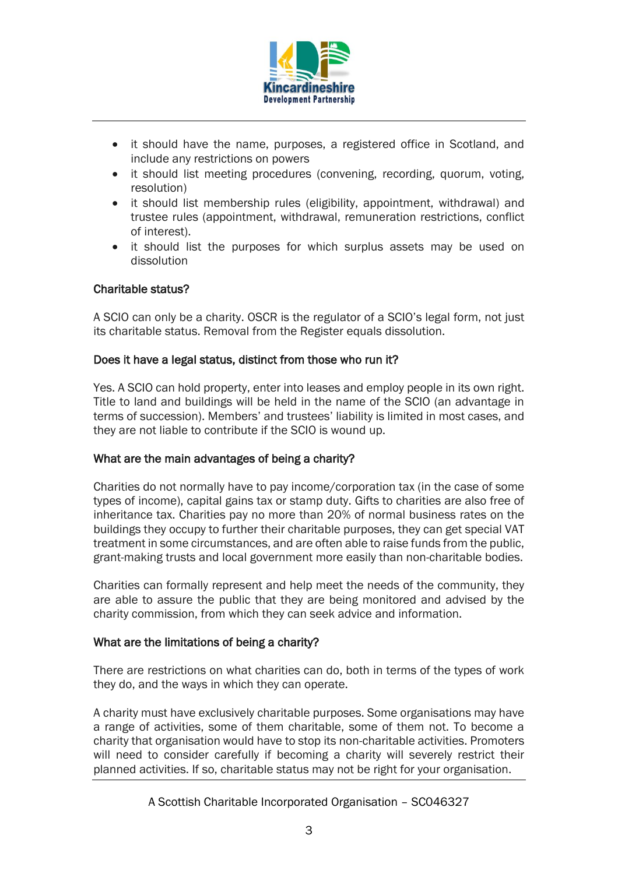

- it should have the name, purposes, a registered office in Scotland, and include any restrictions on powers
- it should list meeting procedures (convening, recording, quorum, voting, resolution)
- it should list membership rules (eligibility, appointment, withdrawal) and trustee rules (appointment, withdrawal, remuneration restrictions, conflict of interest).
- it should list the purposes for which surplus assets may be used on dissolution

# Charitable status?

A SCIO can only be a charity. OSCR is the regulator of a SCIO's legal form, not just its charitable status. Removal from the Register equals dissolution.

#### Does it have a legal status, distinct from those who run it?

Yes. A SCIO can hold property, enter into leases and employ people in its own right. Title to land and buildings will be held in the name of the SCIO (an advantage in terms of succession). Members' and trustees' liability is limited in most cases, and they are not liable to contribute if the SCIO is wound up.

# What are the main advantages of being a charity?

Charities do not normally have to pay income/corporation tax (in the case of some types of income), capital gains tax or stamp duty. Gifts to charities are also free of inheritance tax. Charities pay no more than 20% of normal business rates on the buildings they occupy to further their charitable purposes, they can get special VAT treatment in some circumstances, and are often able to raise funds from the public, grant-making trusts and local government more easily than non-charitable bodies.

Charities can formally represent and help meet the needs of the community, they are able to assure the public that they are being monitored and advised by the charity commission, from which they can seek advice and information.

# What are the limitations of being a charity?

There are restrictions on what charities can do, both in terms of the types of work they do, and the ways in which they can operate.

A charity must have exclusively charitable purposes. Some organisations may have a range of activities, some of them charitable, some of them not. To become a charity that organisation would have to stop its non-charitable activities. Promoters will need to consider carefully if becoming a charity will severely restrict their planned activities. If so, charitable status may not be right for your organisation.